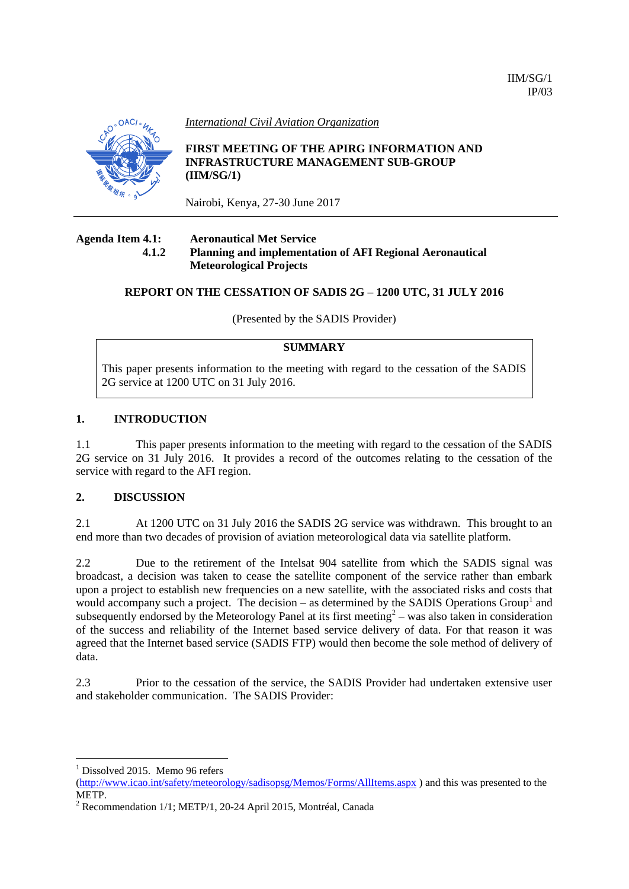

*International Civil Aviation Organization*

**FIRST MEETING OF THE APIRG INFORMATION AND INFRASTRUCTURE MANAGEMENT SUB-GROUP (IIM/SG/1)**

Nairobi, Kenya, 27-30 June 2017

#### **Agenda Item 4.1: Aeronautical Met Service 4.1.2 Planning and implementation of AFI Regional Aeronautical Meteorological Projects**

## **REPORT ON THE CESSATION OF SADIS 2G – 1200 UTC, 31 JULY 2016**

(Presented by the SADIS Provider)

# **SUMMARY**

This paper presents information to the meeting with regard to the cessation of the SADIS 2G service at 1200 UTC on 31 July 2016.

### **1. INTRODUCTION**

1.1 This paper presents information to the meeting with regard to the cessation of the SADIS 2G service on 31 July 2016. It provides a record of the outcomes relating to the cessation of the service with regard to the AFI region.

### **2. DISCUSSION**

2.1 At 1200 UTC on 31 July 2016 the SADIS 2G service was withdrawn. This brought to an end more than two decades of provision of aviation meteorological data via satellite platform.

2.2 Due to the retirement of the Intelsat 904 satellite from which the SADIS signal was broadcast, a decision was taken to cease the satellite component of the service rather than embark upon a project to establish new frequencies on a new satellite, with the associated risks and costs that would accompany such a project. The decision  $-$  as determined by the SADIS Operations Group<sup>1</sup> and subsequently endorsed by the Meteorology Panel at its first meeting<sup>2</sup> – was also taken in consideration of the success and reliability of the Internet based service delivery of data. For that reason it was agreed that the Internet based service (SADIS FTP) would then become the sole method of delivery of data.

2.3 Prior to the cessation of the service, the SADIS Provider had undertaken extensive user and stakeholder communication. The SADIS Provider:

 $<sup>1</sup>$  Dissolved 2015. Memo 96 refers</sup>

1

[<sup>\(</sup>http://www.icao.int/safety/meteorology/sadisopsg/Memos/Forms/AllItems.aspx](http://www.icao.int/safety/meteorology/sadisopsg/Memos/Forms/AllItems.aspx)) and this was presented to the METP.

<sup>2</sup> Recommendation 1/1; METP/1, 20-24 April 2015, Montréal, Canada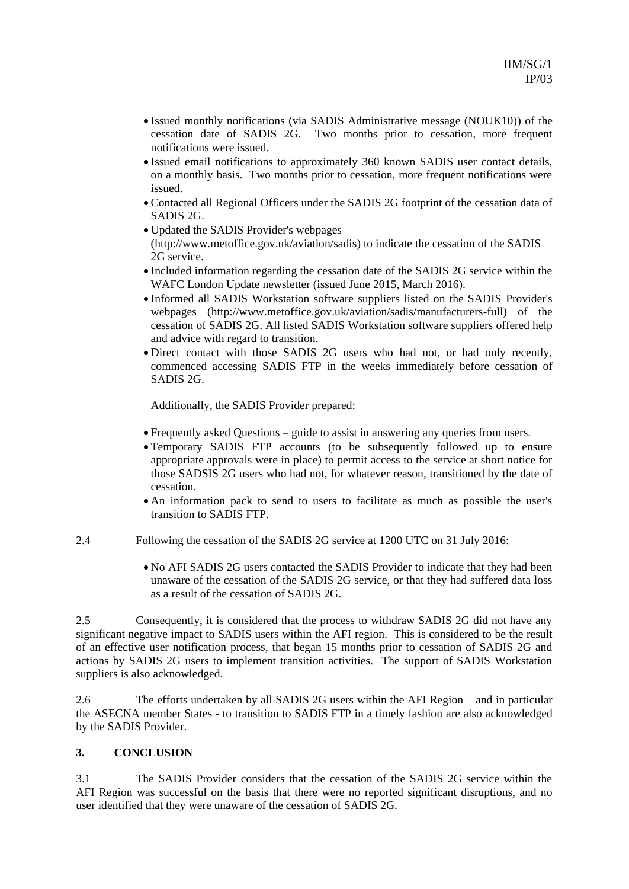- Issued monthly notifications (via SADIS Administrative message (NOUK10)) of the cessation date of SADIS 2G. Two months prior to cessation, more frequent notifications were issued.
- Issued email notifications to approximately 360 known SADIS user contact details, on a monthly basis. Two months prior to cessation, more frequent notifications were issued.
- Contacted all Regional Officers under the SADIS 2G footprint of the cessation data of SADIS 2G.
- Updated the SADIS Provider's webpages [\(http://www.metoffice.gov.uk/aviation/sadis\)](http://www.metoffice.gov.uk/aviation/sadis) to indicate the cessation of the SADIS 2G service.
- Included information regarding the cessation date of the SADIS 2G service within the WAFC London Update newsletter (issued June 2015, March 2016).
- Informed all SADIS Workstation software suppliers listed on the SADIS Provider's webpages [\(http://www.metoffice.gov.uk/aviation/sadis/manufacturers-full\)](http://www.metoffice.gov.uk/aviation/sadis/manufacturers-full) of the cessation of SADIS 2G. All listed SADIS Workstation software suppliers offered help and advice with regard to transition.
- Direct contact with those SADIS 2G users who had not, or had only recently, commenced accessing SADIS FTP in the weeks immediately before cessation of SADIS 2G.

Additionally, the SADIS Provider prepared:

- Frequently asked Questions guide to assist in answering any queries from users.
- Temporary SADIS FTP accounts (to be subsequently followed up to ensure appropriate approvals were in place) to permit access to the service at short notice for those SADSIS 2G users who had not, for whatever reason, transitioned by the date of cessation.
- An information pack to send to users to facilitate as much as possible the user's transition to SADIS FTP.
- 2.4 Following the cessation of the SADIS 2G service at 1200 UTC on 31 July 2016:
	- No AFI SADIS 2G users contacted the SADIS Provider to indicate that they had been unaware of the cessation of the SADIS 2G service, or that they had suffered data loss as a result of the cessation of SADIS 2G.

2.5 Consequently, it is considered that the process to withdraw SADIS 2G did not have any significant negative impact to SADIS users within the AFI region. This is considered to be the result of an effective user notification process, that began 15 months prior to cessation of SADIS 2G and actions by SADIS 2G users to implement transition activities. The support of SADIS Workstation suppliers is also acknowledged.

2.6 The efforts undertaken by all SADIS 2G users within the AFI Region – and in particular the ASECNA member States - to transition to SADIS FTP in a timely fashion are also acknowledged by the SADIS Provider.

## **3. CONCLUSION**

3.1 The SADIS Provider considers that the cessation of the SADIS 2G service within the AFI Region was successful on the basis that there were no reported significant disruptions, and no user identified that they were unaware of the cessation of SADIS 2G.